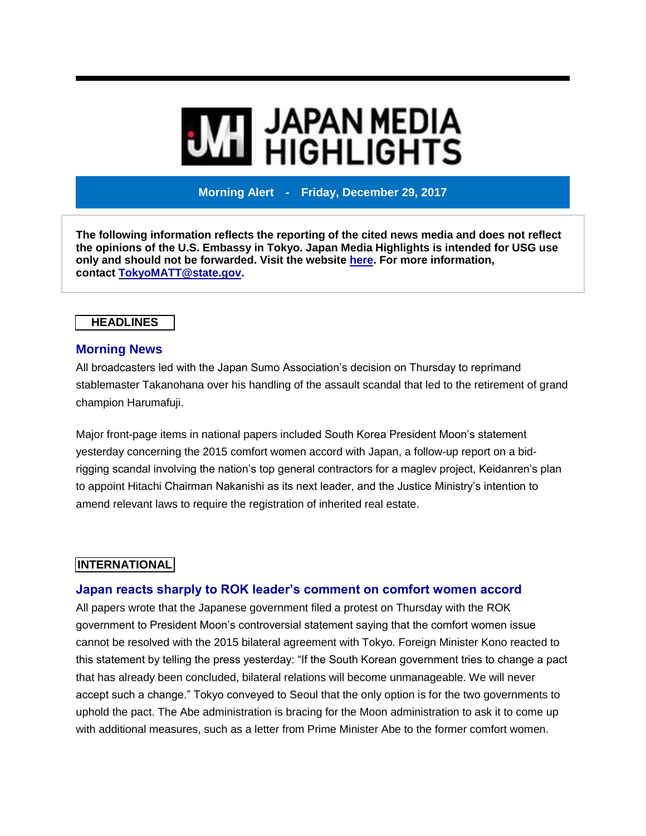# **MI** JAPAN MEDIA<br>MI HIGHLIGHTS

**Morning Alert - Friday, December 29, 2017**

**The following information reflects the reporting of the cited news media and does not reflect the opinions of the U.S. Embassy in Tokyo. Japan Media Highlights is intended for USG use only and should not be forwarded. Visit the website [here.](https://jmh.usembassy.gov/) For more information, contact [TokyoMATT@state.gov.](mailto:TokyoMATT@state.gov)**

## **HEADLINES**

#### **Morning News**

All broadcasters led with the Japan Sumo Association's decision on Thursday to reprimand stablemaster Takanohana over his handling of the assault scandal that led to the retirement of grand champion Harumafuji.

Major front-page items in national papers included South Korea President Moon's statement yesterday concerning the 2015 comfort women accord with Japan, a follow-up report on a bidrigging scandal involving the nation's top general contractors for a maglev project, Keidanren's plan to appoint Hitachi Chairman Nakanishi as its next leader, and the Justice Ministry's intention to amend relevant laws to require the registration of inherited real estate.

# **INTERNATIONAL**

## **Japan reacts sharply to ROK leader's comment on comfort women accord**

All papers wrote that the Japanese government filed a protest on Thursday with the ROK government to President Moon's controversial statement saying that the comfort women issue cannot be resolved with the 2015 bilateral agreement with Tokyo. Foreign Minister Kono reacted to this statement by telling the press yesterday: "If the South Korean government tries to change a pact that has already been concluded, bilateral relations will become unmanageable. We will never accept such a change." Tokyo conveyed to Seoul that the only option is for the two governments to uphold the pact. The Abe administration is bracing for the Moon administration to ask it to come up with additional measures, such as a letter from Prime Minister Abe to the former comfort women.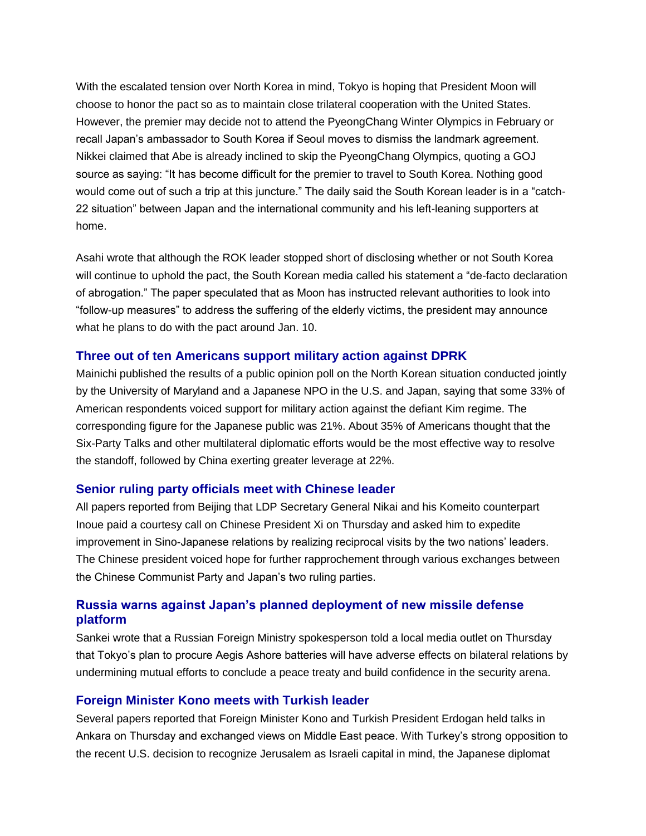With the escalated tension over North Korea in mind, Tokyo is hoping that President Moon will choose to honor the pact so as to maintain close trilateral cooperation with the United States. However, the premier may decide not to attend the PyeongChang Winter Olympics in February or recall Japan's ambassador to South Korea if Seoul moves to dismiss the landmark agreement. Nikkei claimed that Abe is already inclined to skip the PyeongChang Olympics, quoting a GOJ source as saying: "It has become difficult for the premier to travel to South Korea. Nothing good would come out of such a trip at this juncture." The daily said the South Korean leader is in a "catch-22 situation" between Japan and the international community and his left-leaning supporters at home.

Asahi wrote that although the ROK leader stopped short of disclosing whether or not South Korea will continue to uphold the pact, the South Korean media called his statement a "de-facto declaration of abrogation." The paper speculated that as Moon has instructed relevant authorities to look into "follow-up measures" to address the suffering of the elderly victims, the president may announce what he plans to do with the pact around Jan. 10.

## **Three out of ten Americans support military action against DPRK**

Mainichi published the results of a public opinion poll on the North Korean situation conducted jointly by the University of Maryland and a Japanese NPO in the U.S. and Japan, saying that some 33% of American respondents voiced support for military action against the defiant Kim regime. The corresponding figure for the Japanese public was 21%. About 35% of Americans thought that the Six-Party Talks and other multilateral diplomatic efforts would be the most effective way to resolve the standoff, followed by China exerting greater leverage at 22%.

#### **Senior ruling party officials meet with Chinese leader**

All papers reported from Beijing that LDP Secretary General Nikai and his Komeito counterpart Inoue paid a courtesy call on Chinese President Xi on Thursday and asked him to expedite improvement in Sino-Japanese relations by realizing reciprocal visits by the two nations' leaders. The Chinese president voiced hope for further rapprochement through various exchanges between the Chinese Communist Party and Japan's two ruling parties.

#### **Russia warns against Japan's planned deployment of new missile defense platform**

Sankei wrote that a Russian Foreign Ministry spokesperson told a local media outlet on Thursday that Tokyo's plan to procure Aegis Ashore batteries will have adverse effects on bilateral relations by undermining mutual efforts to conclude a peace treaty and build confidence in the security arena.

#### **Foreign Minister Kono meets with Turkish leader**

Several papers reported that Foreign Minister Kono and Turkish President Erdogan held talks in Ankara on Thursday and exchanged views on Middle East peace. With Turkey's strong opposition to the recent U.S. decision to recognize Jerusalem as Israeli capital in mind, the Japanese diplomat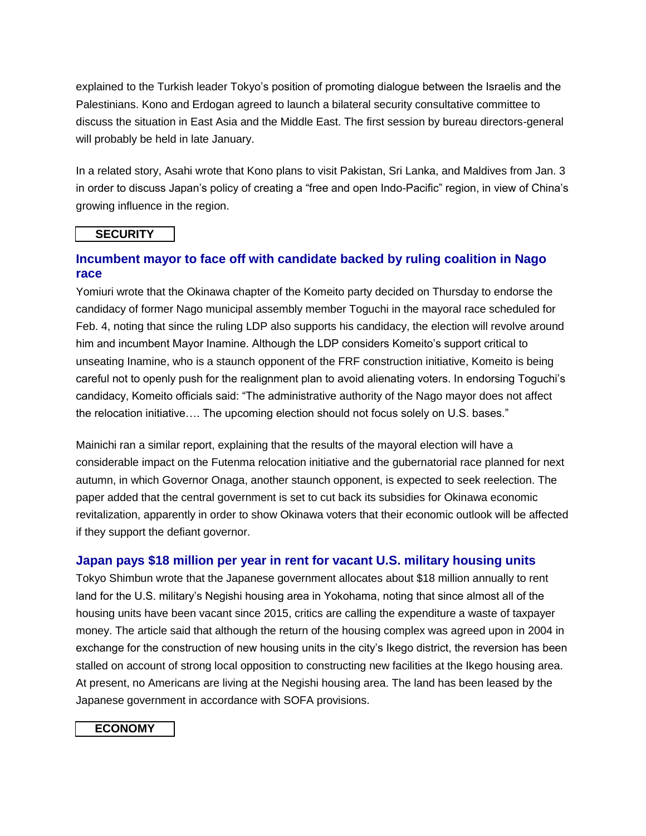explained to the Turkish leader Tokyo's position of promoting dialogue between the Israelis and the Palestinians. Kono and Erdogan agreed to launch a bilateral security consultative committee to discuss the situation in East Asia and the Middle East. The first session by bureau directors-general will probably be held in late January.

In a related story, Asahi wrote that Kono plans to visit Pakistan, Sri Lanka, and Maldives from Jan. 3 in order to discuss Japan's policy of creating a "free and open Indo-Pacific" region, in view of China's growing influence in the region.

#### **SECURITY**

# **Incumbent mayor to face off with candidate backed by ruling coalition in Nago race**

Yomiuri wrote that the Okinawa chapter of the Komeito party decided on Thursday to endorse the candidacy of former Nago municipal assembly member Toguchi in the mayoral race scheduled for Feb. 4, noting that since the ruling LDP also supports his candidacy, the election will revolve around him and incumbent Mayor Inamine. Although the LDP considers Komeito's support critical to unseating Inamine, who is a staunch opponent of the FRF construction initiative, Komeito is being careful not to openly push for the realignment plan to avoid alienating voters. In endorsing Toguchi's candidacy, Komeito officials said: "The administrative authority of the Nago mayor does not affect the relocation initiative…. The upcoming election should not focus solely on U.S. bases."

Mainichi ran a similar report, explaining that the results of the mayoral election will have a considerable impact on the Futenma relocation initiative and the gubernatorial race planned for next autumn, in which Governor Onaga, another staunch opponent, is expected to seek reelection. The paper added that the central government is set to cut back its subsidies for Okinawa economic revitalization, apparently in order to show Okinawa voters that their economic outlook will be affected if they support the defiant governor.

## **Japan pays \$18 million per year in rent for vacant U.S. military housing units**

Tokyo Shimbun wrote that the Japanese government allocates about \$18 million annually to rent land for the U.S. military's Negishi housing area in Yokohama, noting that since almost all of the housing units have been vacant since 2015, critics are calling the expenditure a waste of taxpayer money. The article said that although the return of the housing complex was agreed upon in 2004 in exchange for the construction of new housing units in the city's Ikego district, the reversion has been stalled on account of strong local opposition to constructing new facilities at the Ikego housing area. At present, no Americans are living at the Negishi housing area. The land has been leased by the Japanese government in accordance with SOFA provisions.

#### **ECONOMY**